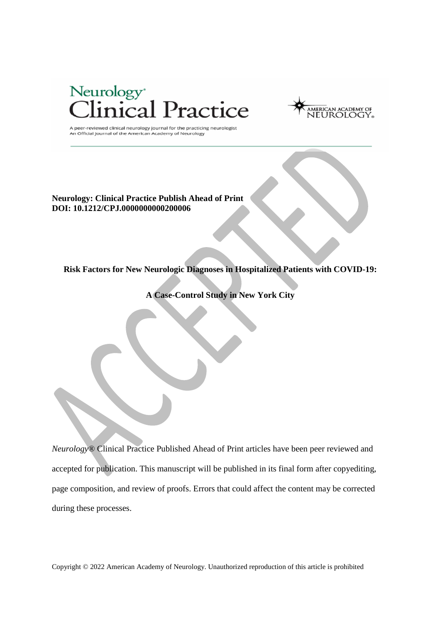



A peer-reviewed clinical neurology journal for the practicing neurologist An Official Journal of the American Academy of Neurology

**Neurology: Clinical Practice Publish Ahead of Print DOI: 10.1212/CPJ.0000000000200006** 

**Risk Factors for New Neurologic Diagnoses in Hospitalized Patients with COVID-19:** 

**A Case-Control Study in New York City** 

*Neurology*® Clinical Practice Published Ahead of Print articles have been peer reviewed and accepted for publication. This manuscript will be published in its final form after copyediting, page composition, and review of proofs. Errors that could affect the content may be corrected during these processes.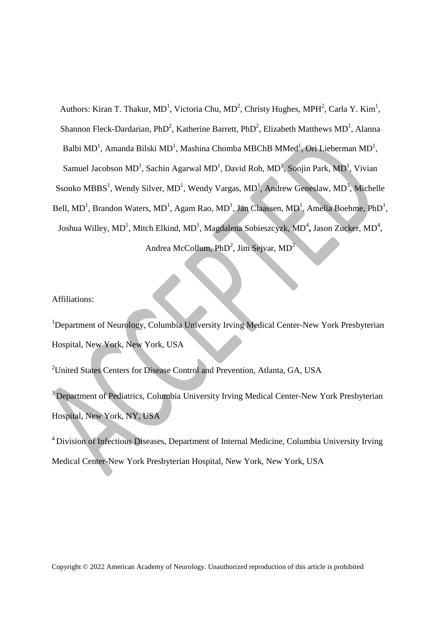Authors: Kiran T. Thakur, MD<sup>1</sup>, Victoria Chu, MD<sup>2</sup>, Christy Hughes, MPH<sup>2</sup>, Carla Y. Kim<sup>1</sup>, Shannon Fleck-Dardarian, PhD<sup>2</sup>, Katherine Barrett, PhD<sup>2</sup>, Elizabeth Matthews MD<sup>1</sup>, Alanna Balbi MD<sup>1</sup>, Amanda Bilski MD<sup>1</sup>, Mashina Chomba MBChB MMed<sup>1</sup>, Ori Lieberman MD<sup>1</sup>, Samuel Jacobson MD<sup>1</sup>, Sachin Agarwal MD<sup>1</sup>, David Roh, MD<sup>1</sup>, Soojin Park, MD<sup>1</sup>, Vivian Ssonko MBBS<sup>1</sup>, Wendy Silver, MD<sup>1</sup>, Wendy Vargas, MD<sup>1</sup>, Andrew Geneslaw, MD<sup>3</sup>, Michelle Bell, MD<sup>1</sup>, Brandon Waters, MD<sup>1</sup>, Agam Rao, MD<sup>1</sup>, Jan Claassen, MD<sup>1</sup>, Amelia Boehme, PhD<sup>1</sup>, Joshua Willey, MD<sup>1</sup>, Mitch Elkind, MD<sup>1</sup>, Magdalena Sobieszcyzk, MD<sup>4</sup>, Jason Zucker, MD<sup>4</sup>, Andrea McCollum, PhD<sup>2</sup>, Jim Sejvar, MD<sup>2</sup>

Affiliations:

<sup>1</sup>Department of Neurology, Columbia University Irving Medical Center-New York Presbyterian Hospital, New York, New York, USA

<sup>2</sup>United States Centers for Disease Control and Prevention, Atlanta, GA, USA

<sup>3</sup> Department of Pediatrics, Columbia University Irving Medical Center-New York Presbyterian Hospital, New York, NY, USA

<sup>4</sup> Division of Infectious Diseases, Department of Internal Medicine, Columbia University Irving Medical Center-New York Presbyterian Hospital, New York, New York, USA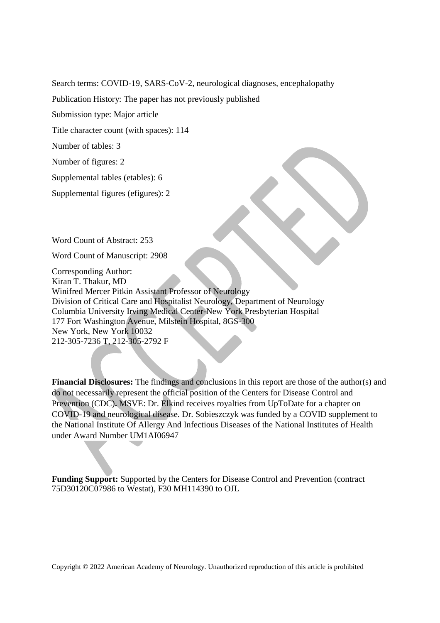Search terms: COVID-19, SARS-CoV-2, neurological diagnoses, encephalopathy

Publication History: The paper has not previously published

Submission type: Major article

Title character count (with spaces): 114

Number of tables: 3

Number of figures: 2

Supplemental tables (etables): 6

Supplemental figures (efigures): 2

Word Count of Abstract: 253

Word Count of Manuscript: 2908

Corresponding Author: Kiran T. Thakur, MD Winifred Mercer Pitkin Assistant Professor of Neurology Division of Critical Care and Hospitalist Neurology, Department of Neurology Columbia University Irving Medical Center-New York Presbyterian Hospital 177 Fort Washington Avenue, Milstein Hospital, 8GS-300 New York, New York 10032 212-305-7236 T, 212-305-2792 F

**Financial Disclosures:** The findings and conclusions in this report are those of the author(s) and do not necessarily represent the official position of the Centers for Disease Control and Prevention (CDC)**.** MSVE: Dr. Elkind receives royalties from UpToDate for a chapter on COVID-19 and neurological disease. Dr. Sobieszczyk was funded by a COVID supplement to the National Institute Of Allergy And Infectious Diseases of the National Institutes of Health under Award Number UM1AI06947

**Funding Support:** Supported by the Centers for Disease Control and Prevention (contract 75D30120C07986 to Westat), F30 MH114390 to OJL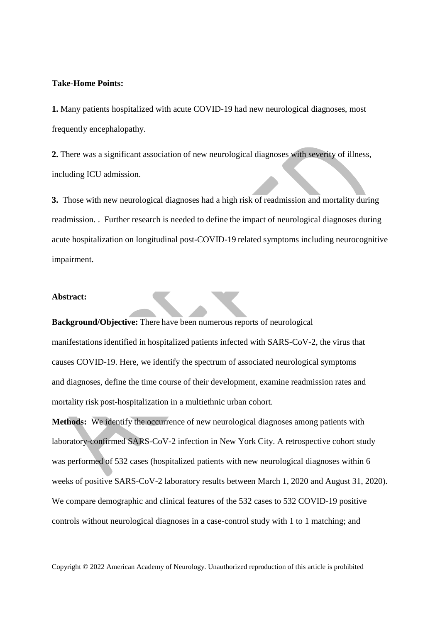# **Take-Home Points:**

**1.** Many patients hospitalized with acute COVID-19 had new neurological diagnoses, most frequently encephalopathy.

**2.** There was a significant association of new neurological diagnoses with severity of illness, including ICU admission.

**3.** Those with new neurological diagnoses had a high risk of readmission and mortality during readmission. . Further research is needed to define the impact of neurological diagnoses during acute hospitalization on longitudinal post-COVID-19 related symptoms including neurocognitive impairment.

# **Abstract:**

**Background/Objective:** There have been numerous reports of neurological manifestations identified in hospitalized patients infected with SARS-CoV-2, the virus that causes COVID-19. Here, we identify the spectrum of associated neurological symptoms and diagnoses, define the time course of their development, examine readmission rates and mortality risk post-hospitalization in a multiethnic urban cohort.  

**Methods:** We identify the occurrence of new neurological diagnoses among patients with laboratory-confirmed SARS-CoV-2 infection in New York City. A retrospective cohort study was performed of 532 cases (hospitalized patients with new neurological diagnoses within 6 weeks of positive SARS-CoV-2 laboratory results between March 1, 2020 and August 31, 2020). We compare demographic and clinical features of the 532 cases to 532 COVID-19 positive controls without neurological diagnoses in a case-control study with 1 to 1 matching; and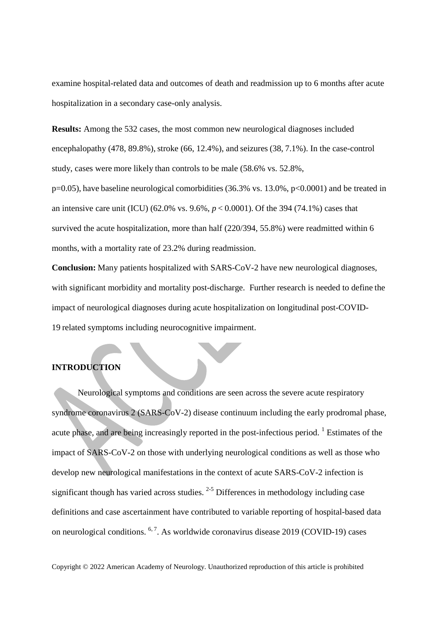examine hospital-related data and outcomes of death and readmission up to 6 months after acute hospitalization in a secondary case-only analysis.

**Results:** Among the 532 cases, the most common new neurological diagnoses included encephalopathy  $(478, 89.8\%)$ , stroke  $(66, 12.4\%)$ , and seizures  $(38, 7.1\%)$ . In the case-control study, cases were more likely than controls to be male (58.6% vs. 52.8%,

p=0.05), have baseline neurological comorbidities (36.3% vs. 13.0%, p<0.0001) and be treated in an intensive care unit (ICU) (62.0% vs. 9.6%, *p* < 0.0001). Of the 394 (74.1%) cases that survived the acute hospitalization, more than half (220/394, 55.8%) were readmitted within 6 months, with a mortality rate of 23.2% during readmission.

**Conclusion:** Many patients hospitalized with SARS-CoV-2 have new neurological diagnoses, with significant morbidity and mortality post-discharge. Further research is needed to define the impact of neurological diagnoses during acute hospitalization on longitudinal post-COVID-19 related symptoms including neurocognitive impairment.

# **INTRODUCTION**

Neurological symptoms and conditions are seen across the severe acute respiratory syndrome coronavirus 2 (SARS-CoV-2) disease continuum including the early prodromal phase, acute phase, and are being increasingly reported in the post-infectious period.  $\frac{1}{1}$  Estimates of the impact of SARS-CoV-2 on those with underlying neurological conditions as well as those who develop new neurological manifestations in the context of acute SARS-CoV-2 infection is significant though has varied across studies.  $2-5$  Differences in methodology including case definitions and case ascertainment have contributed to variable reporting of hospital-based data on neurological conditions.  $6, 7$ . As worldwide coronavirus disease 2019 (COVID-19) cases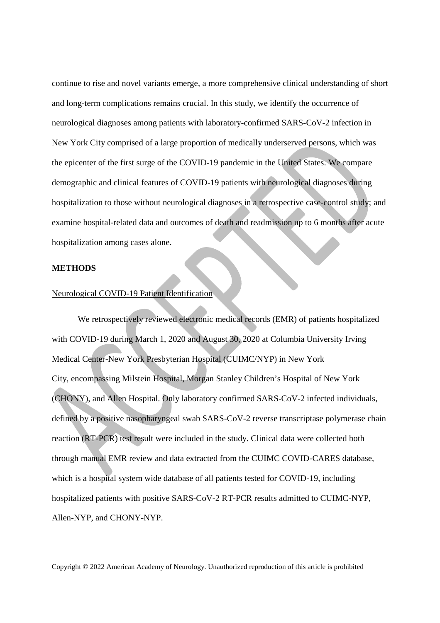continue to rise and novel variants emerge, a more comprehensive clinical understanding of short and long-term complications remains crucial. In this study, we identify the occurrence of neurological diagnoses among patients with laboratory-confirmed SARS-CoV-2 infection in New York City comprised of a large proportion of medically underserved persons, which was the epicenter of the first surge of the COVID-19 pandemic in the United States. We compare demographic and clinical features of COVID-19 patients with neurological diagnoses during hospitalization to those without neurological diagnoses in a retrospective case-control study; and examine hospital-related data and outcomes of death and readmission up to 6 months after acute hospitalization among cases alone.

## **METHODS**

#### Neurological COVID-19 Patient Identification

We retrospectively reviewed electronic medical records (EMR) of patients hospitalized with COVID-19 during March 1, 2020 and August 30, 2020 at Columbia University Irving Medical Center-New York Presbyterian Hospital (CUIMC/NYP) in New York City, encompassing Milstein Hospital, Morgan Stanley Children's Hospital of New York (CHONY), and Allen Hospital. Only laboratory confirmed SARS-CoV-2 infected individuals, defined by a positive nasopharyngeal swab SARS-CoV-2 reverse transcriptase polymerase chain reaction (RT-PCR) test result were included in the study. Clinical data were collected both through manual EMR review and data extracted from the CUIMC COVID-CARES database, which is a hospital system wide database of all patients tested for COVID-19, including hospitalized patients with positive SARS-CoV-2 RT-PCR results admitted to CUIMC-NYP, Allen-NYP, and CHONY-NYP.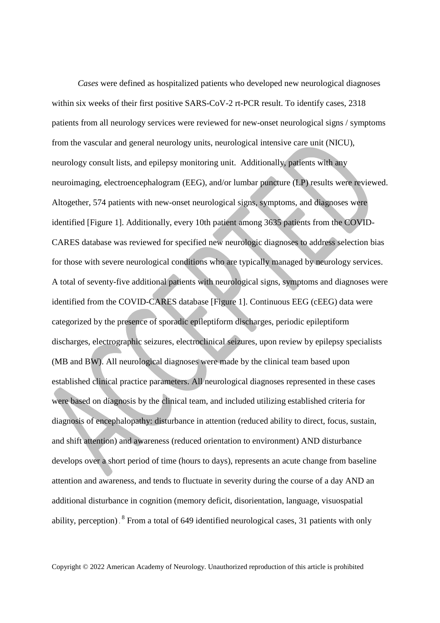*Cases* were defined as hospitalized patients who developed new neurological diagnoses within six weeks of their first positive SARS-CoV-2 rt-PCR result. To identify cases, 2318 patients from all neurology services were reviewed for new-onset neurological signs / symptoms from the vascular and general neurology units, neurological intensive care unit (NICU), neurology consult lists, and epilepsy monitoring unit. Additionally, patients with any neuroimaging, electroencephalogram (EEG), and/or lumbar puncture (LP) results were reviewed. Altogether, 574 patients with new-onset neurological signs, symptoms, and diagnoses were identified [Figure 1]. Additionally, every 10th patient among 3635 patients from the COVID-CARES database was reviewed for specified new neurologic diagnoses to address selection bias for those with severe neurological conditions who are typically managed by neurology services. A total of seventy-five additional patients with neurological signs, symptoms and diagnoses were identified from the COVID-CARES database [Figure 1]. Continuous EEG (cEEG) data were categorized by the presence of sporadic epileptiform discharges, periodic epileptiform discharges, electrographic seizures, electroclinical seizures, upon review by epilepsy specialists (MB and BW). All neurological diagnoses were made by the clinical team based upon established clinical practice parameters. All neurological diagnoses represented in these cases were based on diagnosis by the clinical team, and included utilizing established criteria for diagnosis of encephalopathy: disturbance in attention (reduced ability to direct, focus, sustain, and shift attention) and awareness (reduced orientation to environment) AND disturbance develops over a short period of time (hours to days), represents an acute change from baseline attention and awareness, and tends to fluctuate in severity during the course of a day AND an additional disturbance in cognition (memory deficit, disorientation, language, visuospatial ability, perception). <sup>8</sup> From a total of 649 identified neurological cases, 31 patients with only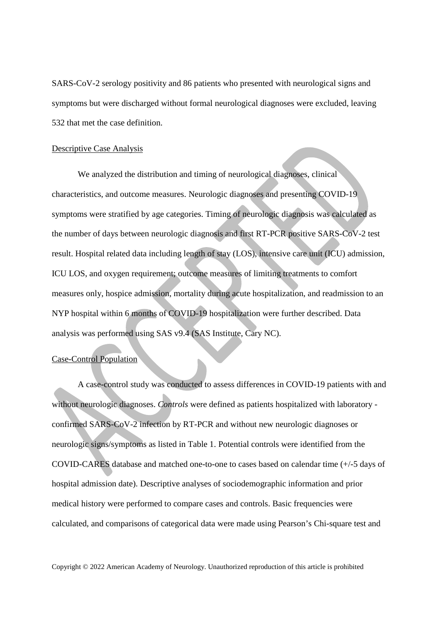SARS-CoV-2 serology positivity and 86 patients who presented with neurological signs and symptoms but were discharged without formal neurological diagnoses were excluded, leaving 532 that met the case definition.

#### Descriptive Case Analysis

We analyzed the distribution and timing of neurological diagnoses, clinical characteristics, and outcome measures. Neurologic diagnoses and presenting COVID-19 symptoms were stratified by age categories. Timing of neurologic diagnosis was calculated as the number of days between neurologic diagnosis and first RT-PCR positive SARS-CoV-2 test result. Hospital related data including length of stay (LOS), intensive care unit (ICU) admission, ICU LOS, and oxygen requirement; outcome measures of limiting treatments to comfort measures only, hospice admission, mortality during acute hospitalization, and readmission to an NYP hospital within 6 months of COVID-19 hospitalization were further described. Data analysis was performed using SAS v9.4 (SAS Institute, Cary NC).

# Case-Control Population

 A case-control study was conducted to assess differences in COVID-19 patients with and without neurologic diagnoses. *Controls* were defined as patients hospitalized with laboratory confirmed SARS-CoV-2 infection by RT-PCR and without new neurologic diagnoses or neurologic signs/symptoms as listed in Table 1. Potential controls were identified from the COVID-CARES database and matched one-to-one to cases based on calendar time (+/-5 days of hospital admission date). Descriptive analyses of sociodemographic information and prior medical history were performed to compare cases and controls. Basic frequencies were calculated, and comparisons of categorical data were made using Pearson's Chi-square test and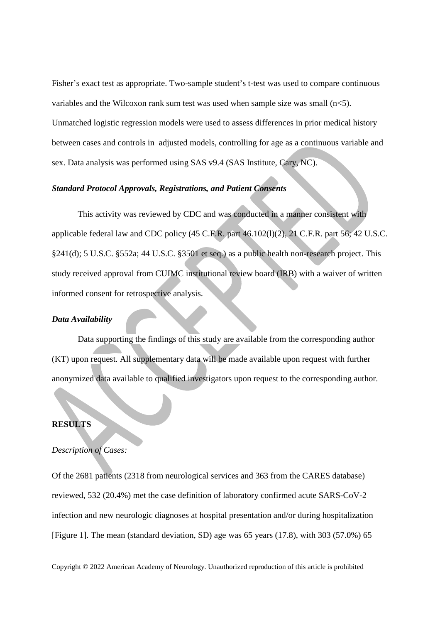Fisher's exact test as appropriate. Two-sample student's t-test was used to compare continuous variables and the Wilcoxon rank sum test was used when sample size was small  $(n<5)$ . Unmatched logistic regression models were used to assess differences in prior medical history between cases and controls in adjusted models, controlling for age as a continuous variable and sex. Data analysis was performed using SAS v9.4 (SAS Institute, Cary, NC).

# *Standard Protocol Approvals, Registrations, and Patient Consents*

This activity was reviewed by CDC and was conducted in a manner consistent with applicable federal law and CDC policy (45 C.F.R. part 46.102(l)(2), 21 C.F.R. part 56; 42 U.S.C. §241(d); 5 U.S.C. §552a; 44 U.S.C. §3501 et seq.) as a public health non-research project. This study received approval from CUIMC institutional review board (IRB) with a waiver of written informed consent for retrospective analysis.

# *Data Availability*

Data supporting the findings of this study are available from the corresponding author (KT) upon request. All supplementary data will be made available upon request with further anonymized data available to qualified investigators upon request to the corresponding author.

# **RESULTS**

#### *Description of Cases:*

Of the 2681 patients (2318 from neurological services and 363 from the CARES database) reviewed, 532 (20.4%) met the case definition of laboratory confirmed acute SARS-CoV-2 infection and new neurologic diagnoses at hospital presentation and/or during hospitalization [Figure 1]. The mean (standard deviation, SD) age was 65 years (17.8), with 303 (57.0%) 65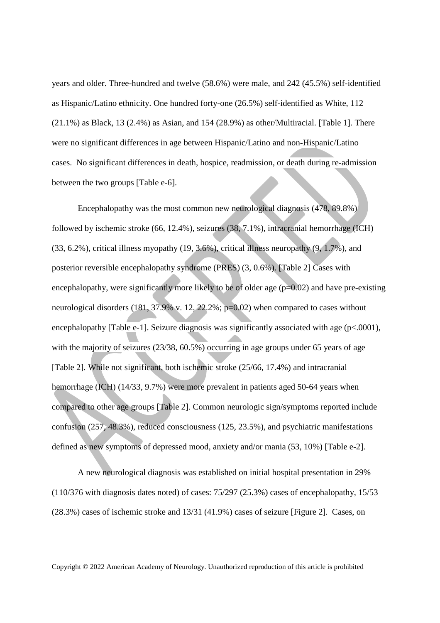years and older. Three-hundred and twelve (58.6%) were male, and 242 (45.5%) self-identified as Hispanic/Latino ethnicity. One hundred forty-one (26.5%) self-identified as White, 112 (21.1%) as Black, 13 (2.4%) as Asian, and 154 (28.9%) as other/Multiracial. [Table 1]. There were no significant differences in age between Hispanic/Latino and non-Hispanic/Latino cases. No significant differences in death, hospice, readmission, or death during re-admission between the two groups [Table e-6].

Encephalopathy was the most common new neurological diagnosis (478, 89.8%) followed by ischemic stroke (66, 12.4%), seizures (38, 7.1%), intracranial hemorrhage (ICH) (33, 6.2%), critical illness myopathy (19, 3.6%), critical illness neuropathy (9, 1.7%), and posterior reversible encephalopathy syndrome (PRES) (3, 0.6%). [Table 2] Cases with encephalopathy, were significantly more likely to be of older age  $(p=0.02)$  and have pre-existing neurological disorders (181, 37.9% v. 12, 22.2%; p=0.02) when compared to cases without encephalopathy [Table e-1]. Seizure diagnosis was significantly associated with age (p<.0001), with the majority of seizures (23/38, 60.5%) occurring in age groups under 65 years of age [Table 2]. While not significant, both ischemic stroke (25/66, 17.4%) and intracranial hemorrhage (ICH) (14/33, 9.7%) were more prevalent in patients aged 50-64 years when compared to other age groups [Table 2]. Common neurologic sign/symptoms reported include confusion (257, 48.3%), reduced consciousness (125, 23.5%), and psychiatric manifestations defined as new symptoms of depressed mood, anxiety and/or mania (53, 10%) [Table e-2].

A new neurological diagnosis was established on initial hospital presentation in 29% (110/376 with diagnosis dates noted) of cases: 75/297 (25.3%) cases of encephalopathy, 15/53 (28.3%) cases of ischemic stroke and 13/31 (41.9%) cases of seizure [Figure 2]. Cases, on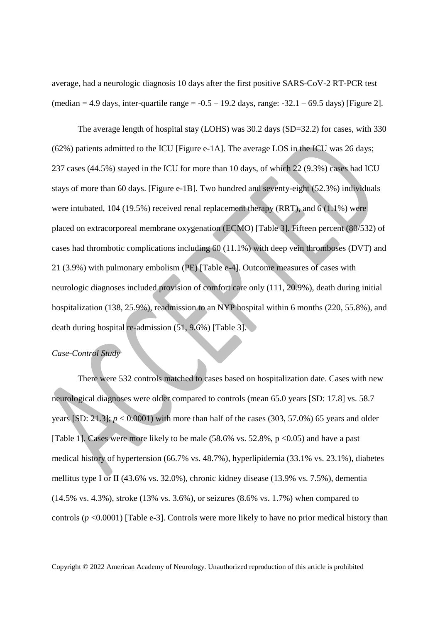average, had a neurologic diagnosis 10 days after the first positive SARS-CoV-2 RT-PCR test (median  $= 4.9$  days, inter-quartile range  $= -0.5 - 19.2$  days, range:  $-32.1 - 69.5$  days) [Figure 2].

The average length of hospital stay (LOHS) was 30.2 days (SD=32.2) for cases, with 330 (62%) patients admitted to the ICU [Figure e-1A]. The average LOS in the ICU was 26 days; 237 cases (44.5%) stayed in the ICU for more than 10 days, of which 22 (9.3%) cases had ICU stays of more than 60 days. [Figure e-1B]. Two hundred and seventy-eight (52.3%) individuals were intubated, 104 (19.5%) received renal replacement therapy (RRT), and 6 (1.1%) were placed on extracorporeal membrane oxygenation (ECMO) [Table 3]. Fifteen percent (80/532) of cases had thrombotic complications including 60 (11.1%) with deep vein thromboses (DVT) and 21 (3.9%) with pulmonary embolism (PE) [Table e-4]. Outcome measures of cases with neurologic diagnoses included provision of comfort care only (111, 20.9%), death during initial hospitalization (138, 25.9%), readmission to an NYP hospital within 6 months (220, 55.8%), and death during hospital re-admission  $(51, 9.6\%)$  [Table 3].

# *Case-Control Study*

There were 532 controls matched to cases based on hospitalization date. Cases with new neurological diagnoses were older compared to controls (mean 65.0 years [SD: 17.8] vs. 58.7 years  $[SD: 21.3]$ ;  $p < 0.0001$ ) with more than half of the cases  $(303, 57.0%)$  65 years and older [Table 1]. Cases were more likely to be male  $(58.6\% \text{ vs. } 52.8\%, \text{ p} < 0.05)$  and have a past medical history of hypertension (66.7% vs. 48.7%), hyperlipidemia (33.1% vs. 23.1%), diabetes mellitus type I or II (43.6% vs. 32.0%), chronic kidney disease (13.9% vs. 7.5%), dementia (14.5% vs. 4.3%), stroke (13% vs. 3.6%), or seizures (8.6% vs. 1.7%) when compared to controls ( $p \le 0.0001$ ) [Table e-3]. Controls were more likely to have no prior medical history than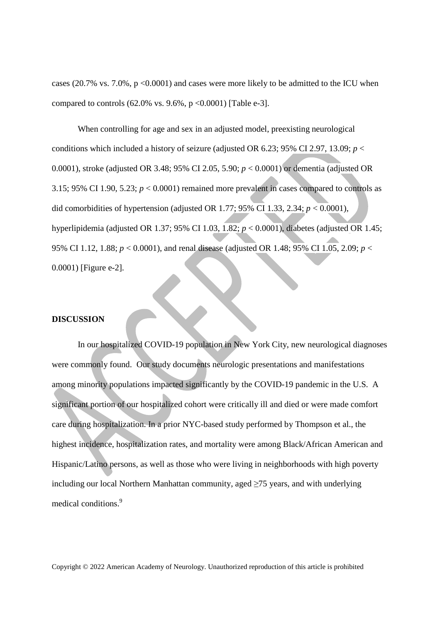cases (20.7% vs. 7.0%, p <0.0001) and cases were more likely to be admitted to the ICU when compared to controls  $(62.0\% \text{ vs. } 9.6\%, \text{ p} < 0.0001)$  [Table e-3].

When controlling for age and sex in an adjusted model, preexisting neurological conditions which included a history of seizure (adjusted OR 6.23; 95% CI 2.97, 13.09;  $p <$ 0.0001), stroke (adjusted OR 3.48; 95% CI 2.05, 5.90; *p* < 0.0001) or dementia (adjusted OR 3.15; 95% CI 1.90, 5.23;  $p < 0.0001$ ) remained more prevalent in cases compared to controls as did comorbidities of hypertension (adjusted OR 1.77; 95% CI 1.33, 2.34; *p* < 0.0001), hyperlipidemia (adjusted OR 1.37; 95% CI 1.03, 1.82; *p* < 0.0001), diabetes (adjusted OR 1.45; 95% CI 1.12, 1.88; *p* < 0.0001), and renal disease (adjusted OR 1.48; 95% CI 1.05, 2.09; *p* < 0.0001) [Figure e-2].

## **DISCUSSION**

In our hospitalized COVID-19 population in New York City, new neurological diagnoses were commonly found. Our study documents neurologic presentations and manifestations among minority populations impacted significantly by the COVID-19 pandemic in the U.S. A significant portion of our hospitalized cohort were critically ill and died or were made comfort care during hospitalization. In a prior NYC-based study performed by Thompson et al., the highest incidence, hospitalization rates, and mortality were among Black/African American and Hispanic/Latino persons, as well as those who were living in neighborhoods with high poverty including our local Northern Manhattan community, aged  $\geq 75$  years, and with underlying medical conditions.<sup>9</sup>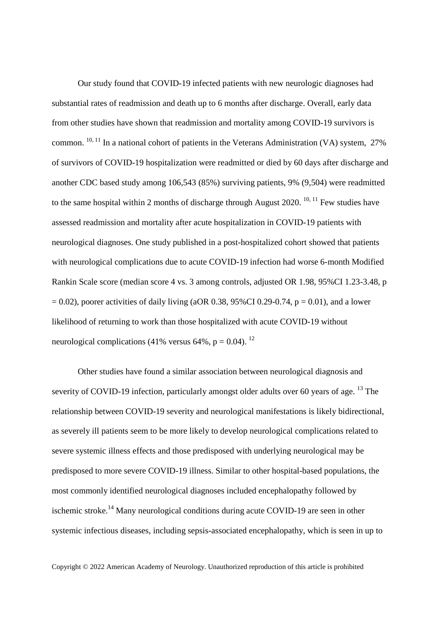Our study found that COVID-19 infected patients with new neurologic diagnoses had substantial rates of readmission and death up to 6 months after discharge. Overall, early data from other studies have shown that readmission and mortality among COVID-19 survivors is common.  $^{10, 11}$  In a national cohort of patients in the Veterans Administration (VA) system, 27% of survivors of COVID-19 hospitalization were readmitted or died by 60 days after discharge and another CDC based study among 106,543 (85%) surviving patients, 9% (9,504) were readmitted to the same hospital within 2 months of discharge through August 2020.  $10, 11$  Few studies have assessed readmission and mortality after acute hospitalization in COVID-19 patients with neurological diagnoses. One study published in a post-hospitalized cohort showed that patients with neurological complications due to acute COVID-19 infection had worse 6-month Modified Rankin Scale score (median score 4 vs. 3 among controls, adjusted OR 1.98, 95%CI 1.23-3.48, p  $= 0.02$ ), poorer activities of daily living (aOR 0.38, 95%CI 0.29-0.74, p = 0.01), and a lower likelihood of returning to work than those hospitalized with acute COVID-19 without neurological complications (41% versus 64%,  $p = 0.04$ ). <sup>12</sup>

Other studies have found a similar association between neurological diagnosis and severity of COVID-19 infection, particularly amongst older adults over 60 years of age. <sup>13</sup> The relationship between COVID-19 severity and neurological manifestations is likely bidirectional, as severely ill patients seem to be more likely to develop neurological complications related to severe systemic illness effects and those predisposed with underlying neurological may be predisposed to more severe COVID-19 illness. Similar to other hospital-based populations, the most commonly identified neurological diagnoses included encephalopathy followed by ischemic stroke.<sup>14</sup> Many neurological conditions during acute COVID-19 are seen in other systemic infectious diseases, including sepsis-associated encephalopathy, which is seen in up to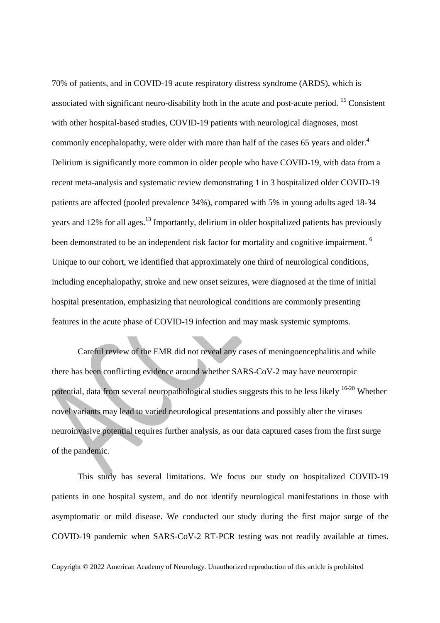70% of patients, and in COVID-19 acute respiratory distress syndrome (ARDS), which is associated with significant neuro-disability both in the acute and post-acute period. <sup>15</sup> Consistent with other hospital-based studies, COVID-19 patients with neurological diagnoses, most commonly encephalopathy, were older with more than half of the cases 65 years and older.<sup>4</sup> Delirium is significantly more common in older people who have COVID-19, with data from a recent meta-analysis and systematic review demonstrating 1 in 3 hospitalized older COVID-19 patients are affected (pooled prevalence 34%), compared with 5% in young adults aged 18-34 years and 12% for all ages.<sup>13</sup> Importantly, delirium in older hospitalized patients has previously been demonstrated to be an independent risk factor for mortality and cognitive impairment. <sup>6</sup> Unique to our cohort, we identified that approximately one third of neurological conditions, including encephalopathy, stroke and new onset seizures, were diagnosed at the time of initial hospital presentation, emphasizing that neurological conditions are commonly presenting features in the acute phase of COVID-19 infection and may mask systemic symptoms.

Careful review of the EMR did not reveal any cases of meningoencephalitis and while there has been conflicting evidence around whether SARS-CoV-2 may have neurotropic potential, data from several neuropathological studies suggests this to be less likely 16-20 Whether novel variants may lead to varied neurological presentations and possibly alter the viruses neuroinvasive potential requires further analysis, as our data captured cases from the first surge of the pandemic.

This study has several limitations. We focus our study on hospitalized COVID-19 patients in one hospital system, and do not identify neurological manifestations in those with asymptomatic or mild disease. We conducted our study during the first major surge of the COVID-19 pandemic when SARS-CoV-2 RT-PCR testing was not readily available at times.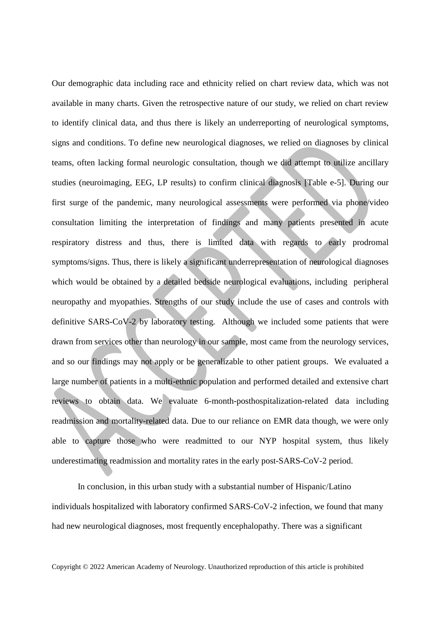Our demographic data including race and ethnicity relied on chart review data, which was not available in many charts. Given the retrospective nature of our study, we relied on chart review to identify clinical data, and thus there is likely an underreporting of neurological symptoms, signs and conditions. To define new neurological diagnoses, we relied on diagnoses by clinical teams, often lacking formal neurologic consultation, though we did attempt to utilize ancillary studies (neuroimaging, EEG, LP results) to confirm clinical diagnosis [Table e-5]. During our first surge of the pandemic, many neurological assessments were performed via phone/video consultation limiting the interpretation of findings and many patients presented in acute respiratory distress and thus, there is limited data with regards to early prodromal symptoms/signs. Thus, there is likely a significant underrepresentation of neurological diagnoses which would be obtained by a detailed bedside neurological evaluations, including peripheral neuropathy and myopathies. Strengths of our study include the use of cases and controls with definitive SARS-CoV-2 by laboratory testing. Although we included some patients that were drawn from services other than neurology in our sample, most came from the neurology services, and so our findings may not apply or be generalizable to other patient groups. We evaluated a large number of patients in a multi-ethnic population and performed detailed and extensive chart reviews to obtain data. We evaluate 6-month-posthospitalization-related data including readmission and mortality-related data. Due to our reliance on EMR data though, we were only able to capture those who were readmitted to our NYP hospital system, thus likely underestimating readmission and mortality rates in the early post-SARS-CoV-2 period.

In conclusion, in this urban study with a substantial number of Hispanic/Latino individuals hospitalized with laboratory confirmed SARS-CoV-2 infection, we found that many had new neurological diagnoses, most frequently encephalopathy. There was a significant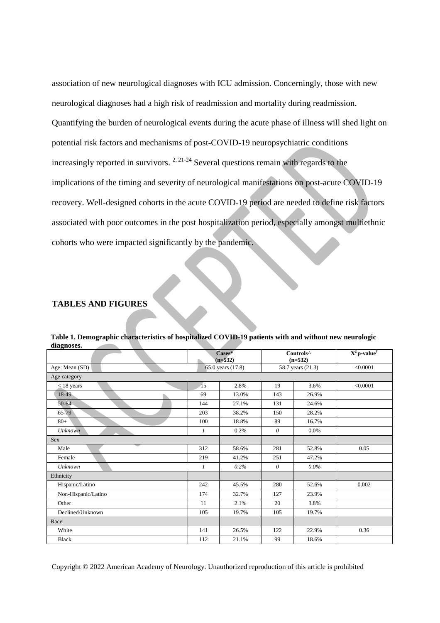association of new neurological diagnoses with ICU admission. Concerningly, those with new neurological diagnoses had a high risk of readmission and mortality during readmission. Quantifying the burden of neurological events during the acute phase of illness will shed light on potential risk factors and mechanisms of post-COVID-19 neuropsychiatric conditions increasingly reported in survivors.  $2, 21-24$  Several questions remain with regards to the implications of the timing and severity of neurological manifestations on post-acute COVID-19 recovery. Well-designed cohorts in the acute COVID-19 period are needed to define risk factors associated with poor outcomes in the post hospitalization period, especially amongst multiethnic cohorts who were impacted significantly by the pandemic.

# **TABLES AND FIGURES**

| ulaghoses.          |               |                     |                   |                                    |                            |
|---------------------|---------------|---------------------|-------------------|------------------------------------|----------------------------|
|                     |               | Cases*<br>$(n=532)$ |                   | Controls <sup>^</sup><br>$(n=532)$ | $X^2$ p-value <sup>†</sup> |
| Age: Mean (SD)      |               | 65.0 years (17.8)   | 58.7 years (21.3) |                                    | < 0.0001                   |
| Age category        |               |                     |                   |                                    |                            |
| $\leq$ 18 years     | 15            | 2.8%                | 19                | 3.6%                               | < 0.0001                   |
| 18-49               | 69            | 13.0%               | 143               | 26.9%                              |                            |
| $50 - 64$           | 144           | 27.1%               | 131               | 24.6%                              |                            |
| 65-79               | 203           | 38.2%               | 150               | 28.2%                              |                            |
| $80 +$              | 100           | 18.8%               | 89                | 16.7%                              |                            |
| <b>Unknown</b>      | $\mathcal{I}$ | 0.2%                | $\theta$          | $0.0\%$                            |                            |
| Sex                 |               |                     |                   |                                    |                            |
| Male                | 312           | 58.6%               | 281               | 52.8%                              | 0.05                       |
| Female              | 219           | 41.2%               | 251               | 47.2%                              |                            |
| <b>Unknown</b>      | 1             | 0.2%                | $\theta$          | $0.0\%$                            |                            |
| Ethnicity           |               |                     |                   |                                    |                            |
| Hispanic/Latino     | 242           | 45.5%               | 280               | 52.6%                              | 0.002                      |
| Non-Hispanic/Latino | 174           | 32.7%               | 127               | 23.9%                              |                            |
| Other               | 11            | 2.1%                | 20                | 3.8%                               |                            |
| Declined/Unknown    | 105           | 19.7%               | 105               | 19.7%                              |                            |
| Race                |               |                     |                   |                                    |                            |
| White               | 141           | 26.5%               | 122               | 22.9%                              | 0.36                       |
| <b>Black</b>        | 112           | 21.1%               | 99                | 18.6%                              |                            |

**Table 1. Demographic characteristics of hospitalized COVID-19 patients with and without new neurologic diagnoses.**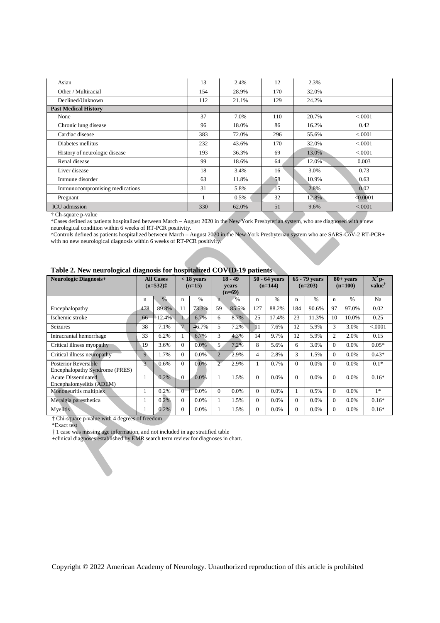| Asian                          | 13  | 2.4%  | 12  | 2.3%  |          |
|--------------------------------|-----|-------|-----|-------|----------|
| Other / Multiracial            | 154 | 28.9% | 170 | 32.0% |          |
| Declined/Unknown               | 112 | 21.1% | 129 | 24.2% |          |
| <b>Past Medical History</b>    |     |       |     |       |          |
| None                           | 37  | 7.0%  | 110 | 20.7% | < 0.001  |
| Chronic lung disease           | 96  | 18.0% | 86  | 16.2% | 0.42     |
| Cardiac disease                | 383 | 72.0% | 296 | 55.6% | < 0.001  |
| Diabetes mellitus              | 232 | 43.6% | 170 | 32.0% | < 0.0001 |
| History of neurologic disease  | 193 | 36.3% | 69  | 13.0% | < 0.001  |
| Renal disease                  | 99  | 18.6% | 64  | 12.0% | 0.003    |
| Liver disease                  | 18  | 3.4%  | 16  | 3.0%  | 0.73     |
| Immune disorder                | 63  | 11.8% | 58  | 10.9% | 0.63     |
| Immunocompromising medications | 31  | 5.8%  | 15  | 2.8%  | 0.02     |
| Pregnant                       |     | 0.5%  | 32  | 12.8% | < 0.0001 |
| <b>ICU</b> admission           | 330 | 62.0% | 51  | 9.6%  | < .0001  |

† Ch-square p-value

\*Cases defined as patients hospitalized between March – August 2020 in the New York Presbyterian system, who are diagnosed with a new neurological condition within 6 weeks of RT-PCR positivity.

^Controls defined as patients hospitalized between March – August 2020 in the New York Presbyterian system who are SARS-CoV-2 RT-PCR+ with no new neurological diagnosis within 6 weeks of RT-PCR positivity.

| <b>Neurologic Diagnosis+</b>                                  |               | <b>All Cases</b><br>$(n=532)$ $\pm$ |                | $<$ 18 years<br>$(n=15)$ |                         | $18 - 49$<br>vears<br>$(n=69)$ |                 | 50 - 64 years<br>$(n=144)$ |          | 65 - 79 years<br>$(n=203)$ |          | $80+ years$<br>$(n=100)$ | $X^2$ p-<br>value <sup>†</sup> |
|---------------------------------------------------------------|---------------|-------------------------------------|----------------|--------------------------|-------------------------|--------------------------------|-----------------|----------------------------|----------|----------------------------|----------|--------------------------|--------------------------------|
|                                                               | $\mathbf n$   | %                                   | n              | $\%$                     | $\overline{\mathbf{n}}$ | $\%$                           | n               | $\%$                       | n        | %                          | n        | $\%$                     | Na                             |
| Encephalopathy                                                | 478           | 89.8%                               | 11             | 73.3%                    | 59                      | 85.5%                          | 127             | 88.2%                      | 184      | 90.6%                      | 97       | 97.0%                    | 0.02                           |
| Ischemic stroke                                               | 66            | 12.4%                               |                | 6.7%                     | 6                       | 8.7%                           | 25              | 17.4%                      | 23       | 11.3%                      | 10       | 10.0%                    | 0.25                           |
| <b>Seizures</b>                                               | 38            | 7.1%                                | $\overline{7}$ | 46.7%                    | 5                       | 7.2%                           | $\overline{11}$ | 7.6%                       | 12       | 5.9%                       | 3        | 3.0%                     | < .0001                        |
| Intracranial hemorrhage                                       | 33            | 6.2%                                | л.             | 6.7%                     | 3                       | 4.3%                           | 14              | 9.7%                       | 12       | 5.9%                       | 2        | 2.0%                     | 0.15                           |
| Critical illness myopathy                                     | 19            | 3.6%                                | $\Omega$       | $0.0\%$                  | 5                       | 7.2%                           | 8               | 5.6%                       | 6        | 3.0%                       | $\Omega$ | 0.0%                     | $0.05*$                        |
| Critical illness neuropathy                                   | 9             | 1.7%                                | $\Omega$       | $0.0\%$                  | $\overline{2}$          | 2.9%                           | 4               | 2.8%                       | 3        | 1.5%                       | $\theta$ | 0.0%                     | $0.43*$                        |
| <b>Posterior Reversible</b><br>Encephalopathy Syndrome (PRES) | $\mathcal{R}$ | 0.6%                                | $\Omega$       | 0.0%                     | $\overline{2}$          | 2.9%                           |                 | 0.7%                       | $\Omega$ | 0.0%                       | $\Omega$ | 0.0%                     | $0.1*$                         |
| <b>Acute Disseminated</b><br>Encephalomyelitis (ADEM)         |               | 0.2%                                | $\Omega$       | 0.0%                     |                         | 1.5%                           | $\Omega$        | 0.0%                       | $\Omega$ | 0.0%                       | $\theta$ | 0.0%                     | $0.16*$                        |
| Mononeuritis multiplex                                        |               | 0.2%                                | $\Omega$       | 0.0%                     | $\Omega$                | $0.0\%$                        | $\Omega$        | 0.0%                       |          | 0.5%                       | $\Omega$ | 0.0%                     | $1*$                           |
| Meralgia paresthetica                                         |               | 0.2%                                | $\Omega$       | 0.0%                     |                         | 1.5%                           | $\Omega$        | 0.0%                       | $\Omega$ | $0.0\%$                    | $\Omega$ | 0.0%                     | $0.16*$                        |
| Myelitis                                                      |               | 0.2%                                | $\Omega$       | 0.0%                     |                         | 1.5%                           | $\Omega$        | 0.0%                       | $\Omega$ | 0.0%                       | $\Omega$ | 0.0%                     | $0.16*$                        |

† Chi-square p-value with 4 degrees of freedom

\*Exact test

‡ 1 case was missing age information, and not included in age stratified table

+clinical diagnoses established by EMR search term review for diagnoses in chart.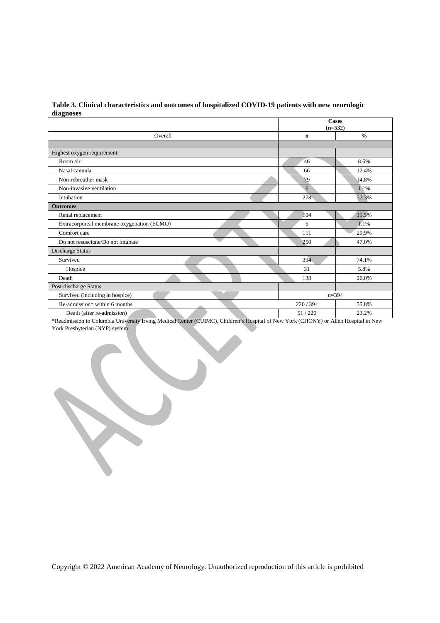| Table 3. Clinical characteristics and outcomes of hospitalized COVID-19 patients with new neurologic |
|------------------------------------------------------------------------------------------------------|
| diagnoses                                                                                            |

|                                            | <b>Cases</b><br>$(n=532)$ |               |  |  |
|--------------------------------------------|---------------------------|---------------|--|--|
| Overall                                    | $\mathbf n$               | $\frac{0}{0}$ |  |  |
|                                            |                           |               |  |  |
| Highest oxygen requirement                 |                           |               |  |  |
| Room air                                   | 46                        | 8.6%          |  |  |
| Nasal cannula                              | 66                        | 12.4%         |  |  |
| Non-rebreather mask                        | 79                        | 14.8%         |  |  |
| Non-invasive ventilation                   | 6                         | 1.1%          |  |  |
| Intubation                                 | 278                       | 52.3%         |  |  |
| <b>Outcomes</b>                            |                           |               |  |  |
| Renal replacement                          | 104                       | 19.5%         |  |  |
| Extracorporeal membrane oxygenation (ECMO) | 6                         | 1.1%          |  |  |
| Comfort care                               | 111                       | 20.9%         |  |  |
| Do not resuscitate/Do not intubate         | 250                       | 47.0%         |  |  |
| Discharge Status                           |                           |               |  |  |
| Survived                                   | 394                       | 74.1%         |  |  |
| Hospice                                    | 31                        | 5.8%          |  |  |
| Death                                      | 138                       | 26.0%         |  |  |
| Post-discharge Status                      |                           |               |  |  |
| Survived (including in hospice)            |                           | $n = 394$     |  |  |
| Re-admission* within 6 months              | 220/394                   | 55.8%         |  |  |
| Death (after re-admission)                 | 51/220                    | 23.2%         |  |  |

\*Readmission to Columbia University Irving Medical Center (CUIMC), Children's Hospital of New York (CHONY) or Allen Hospital in New York Presbyterian (NYP) system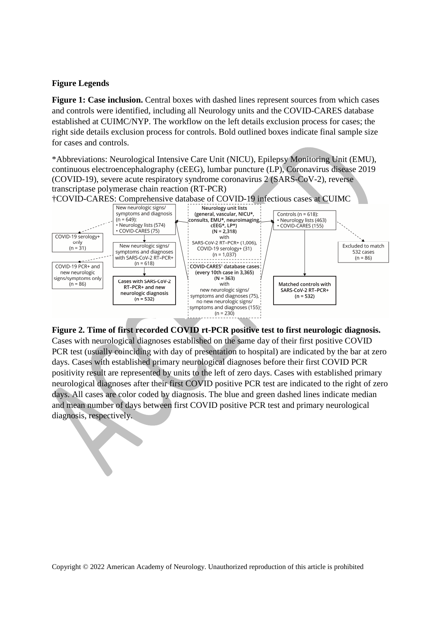# **Figure Legends**

**Figure 1: Case inclusion.** Central boxes with dashed lines represent sources from which cases and controls were identified, including all Neurology units and the COVID-CARES database established at CUIMC/NYP. The workflow on the left details exclusion process for cases; the right side details exclusion process for controls. Bold outlined boxes indicate final sample size for cases and controls.

\*Abbreviations: Neurological Intensive Care Unit (NICU), Epilepsy Monitoring Unit (EMU), continuous electroencephalography (cEEG), lumbar puncture (LP), Coronavirus disease 2019 (COVID-19), severe acute respiratory syndrome coronavirus 2 (SARS-CoV-2), reverse transcriptase polymerase chain reaction (RT-PCR)



**Figure 2. Time of first recorded COVID rt-PCR positive test to first neurologic diagnosis.** Cases with neurological diagnoses established on the same day of their first positive COVID PCR test (usually coinciding with day of presentation to hospital) are indicated by the bar at zero days. Cases with established primary neurological diagnoses before their first COVID PCR positivity result are represented by units to the left of zero days. Cases with established primary neurological diagnoses after their first COVID positive PCR test are indicated to the right of zero days. All cases are color coded by diagnosis. The blue and green dashed lines indicate median and mean number of days between first COVID positive PCR test and primary neurological diagnosis, respectively.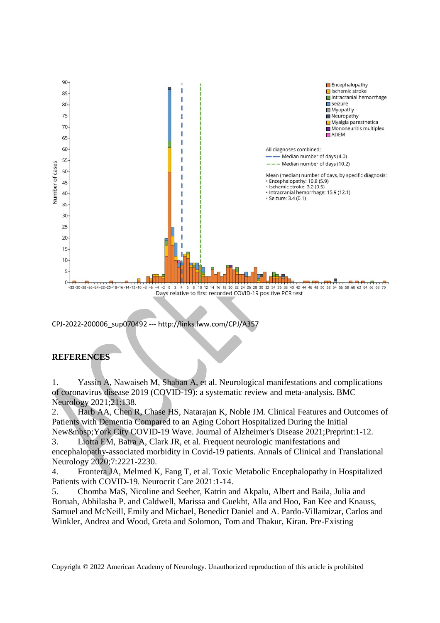

CPJ-2022-200006\_sup070492 --- http://links.lww.com/CPJ

# **REFERENCES**

1. Yassin A, Nawaiseh M, Shaban A, et al. Neurological manifestations and complications of coronavirus disease 2019 (COVID-19): a systematic review and meta-analysis. BMC Neurology 2021;21:138.

2. Harb AA, Chen R, Chase HS, Natarajan K, Noble JM. Clinical Features and Outcomes of Patients with Dementia Compared to an Aging Cohort Hospitalized During the Initial New York City COVID-19 Wave. Journal of Alzheimer's Disease 2021;Preprint:1-12.

3. Liotta EM, Batra A, Clark JR, et al. Frequent neurologic manifestations and encephalopathy-associated morbidity in Covid-19 patients. Annals of Clinical and Translational Neurology 2020;7:2221-2230.

4. Frontera JA, Melmed K, Fang T, et al. Toxic Metabolic Encephalopathy in Hospitalized Patients with COVID-19. Neurocrit Care 2021:1-14.

5. Chomba MaS, Nicoline and Seeher, Katrin and Akpalu, Albert and Baila, Julia and Boruah, Abhilasha P. and Caldwell, Marissa and Guekht, Alla and Hoo, Fan Kee and Knauss, Samuel and McNeill, Emily and Michael, Benedict Daniel and A. Pardo-Villamizar, Carlos and Winkler, Andrea and Wood, Greta and Solomon, Tom and Thakur, Kiran. Pre-Existing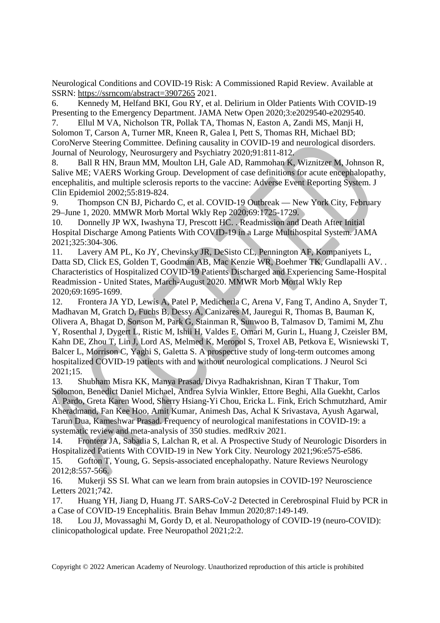Neurological Conditions and COVID-19 Risk: A Commissioned Rapid Review. Available at SSRN: https://ssrncom/abstract=3907265 2021.

6. Kennedy M, Helfand BKI, Gou RY, et al. Delirium in Older Patients With COVID-19 Presenting to the Emergency Department. JAMA Netw Open 2020;3:e2029540-e2029540.

7. Ellul M VA, Nicholson TR, Pollak TA, Thomas N, Easton A, Zandi MS, Manji H, Solomon T, Carson A, Turner MR, Kneen R, Galea I, Pett S, Thomas RH, Michael BD; CoroNerve Steering Committee. Defining causality in COVID-19 and neurological disorders. Journal of Neurology, Neurosurgery and Psychiatry 2020;91:811-812.

8. Ball R HN, Braun MM, Moulton LH, Gale AD, Rammohan K, Wiznitzer M, Johnson R, Salive ME; VAERS Working Group. Development of case definitions for acute encephalopathy, encephalitis, and multiple sclerosis reports to the vaccine: Adverse Event Reporting System. J Clin Epidemiol 2002;55:819-824.

9. Thompson CN BJ, Pichardo C, et al. COVID-19 Outbreak — New York City, February 29–June 1, 2020. MMWR Morb Mortal Wkly Rep 2020;69:1725-1729.

10. Donnelly JP WX, Iwashyna TJ, Prescott HC. . Readmission and Death After Initial Hospital Discharge Among Patients With COVID-19 in a Large Multihospital System. JAMA 2021;325:304-306.

11. Lavery AM PL, Ko JY, Chevinsky JR, DeSisto CL, Pennington AF, Kompaniyets L, Datta SD, Click ES, Golden T, Goodman AB, Mac Kenzie WR, Boehmer TK, Gundlapalli AV. . Characteristics of Hospitalized COVID-19 Patients Discharged and Experiencing Same-Hospital Readmission - United States, March-August 2020. MMWR Morb Mortal Wkly Rep 2020;69:1695-1699.

12. Frontera JA YD, Lewis A, Patel P, Medicherla C, Arena V, Fang T, Andino A, Snyder T, Madhavan M, Gratch D, Fuchs B, Dessy A, Canizares M, Jauregui R, Thomas B, Bauman K, Olivera A, Bhagat D, Sonson M, Park G, Stainman R, Sunwoo B, Talmasov D, Tamimi M, Zhu Y, Rosenthal J, Dygert L, Ristic M, Ishii H, Valdes E, Omari M, Gurin L, Huang J, Czeisler BM, Kahn DE, Zhou T, Lin J, Lord AS, Melmed K, Meropol S, Troxel AB, Petkova E, Wisniewski T, Balcer L, Morrison C, Yaghi S, Galetta S. A prospective study of long-term outcomes among hospitalized COVID-19 patients with and without neurological complications. J Neurol Sci 2021;15.

13. Shubham Misra KK, Manya Prasad, Divya Radhakrishnan, Kiran T Thakur, Tom Solomon, Benedict Daniel Michael, Andrea Sylvia Winkler, Ettore Beghi, Alla Guekht, Carlos A. Pardo, Greta Karen Wood, Sherry Hsiang-Yi Chou, Ericka L. Fink, Erich Schmutzhard, Amir Kheradmand, Fan Kee Hoo, Amit Kumar, Animesh Das, Achal K Srivastava, Ayush Agarwal, Tarun Dua, Kameshwar Prasad. Frequency of neurological manifestations in COVID-19: a systematic review and meta-analysis of 350 studies. medRxiv 2021.

14. Frontera JA, Sabadia S, Lalchan R, et al. A Prospective Study of Neurologic Disorders in Hospitalized Patients With COVID-19 in New York City. Neurology 2021;96:e575-e586.

15. Gofton T, Young, G. Sepsis-associated encephalopathy. Nature Reviews Neurology 2012;8:557-566.

16. Mukerji SS SI. What can we learn from brain autopsies in COVID-19? Neuroscience Letters 2021;742.

17. Huang YH, Jiang D, Huang JT. SARS-CoV-2 Detected in Cerebrospinal Fluid by PCR in a Case of COVID-19 Encephalitis. Brain Behav Immun 2020;87:149-149.

18. Lou JJ, Movassaghi M, Gordy D, et al. Neuropathology of COVID-19 (neuro-COVID): clinicopathological update. Free Neuropathol 2021;2:2.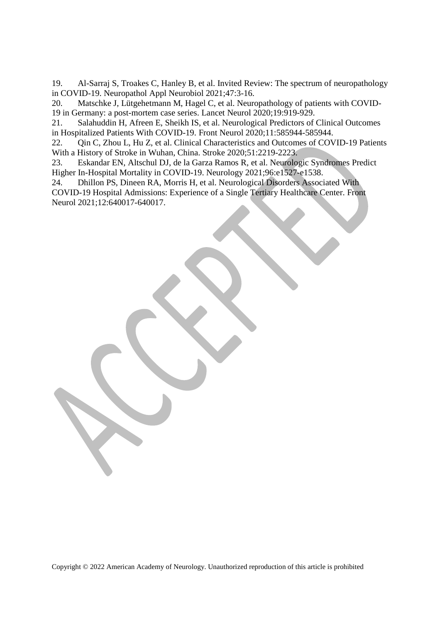19. Al-Sarraj S, Troakes C, Hanley B, et al. Invited Review: The spectrum of neuropathology in COVID-19. Neuropathol Appl Neurobiol 2021;47:3-16.

20. Matschke J, Lütgehetmann M, Hagel C, et al. Neuropathology of patients with COVID-19 in Germany: a post-mortem case series. Lancet Neurol 2020;19:919-929.

21. Salahuddin H, Afreen E, Sheikh IS, et al. Neurological Predictors of Clinical Outcomes in Hospitalized Patients With COVID-19. Front Neurol 2020;11:585944-585944.

22. Qin C, Zhou L, Hu Z, et al. Clinical Characteristics and Outcomes of COVID-19 Patients With a History of Stroke in Wuhan, China. Stroke 2020;51:2219-2223.

23. Eskandar EN, Altschul DJ, de la Garza Ramos R, et al. Neurologic Syndromes Predict Higher In-Hospital Mortality in COVID-19. Neurology 2021;96:e1527-e1538.

24. Dhillon PS, Dineen RA, Morris H, et al. Neurological Disorders Associated With COVID-19 Hospital Admissions: Experience of a Single Tertiary Healthcare Center. Front Neurol 2021;12:640017-640017.